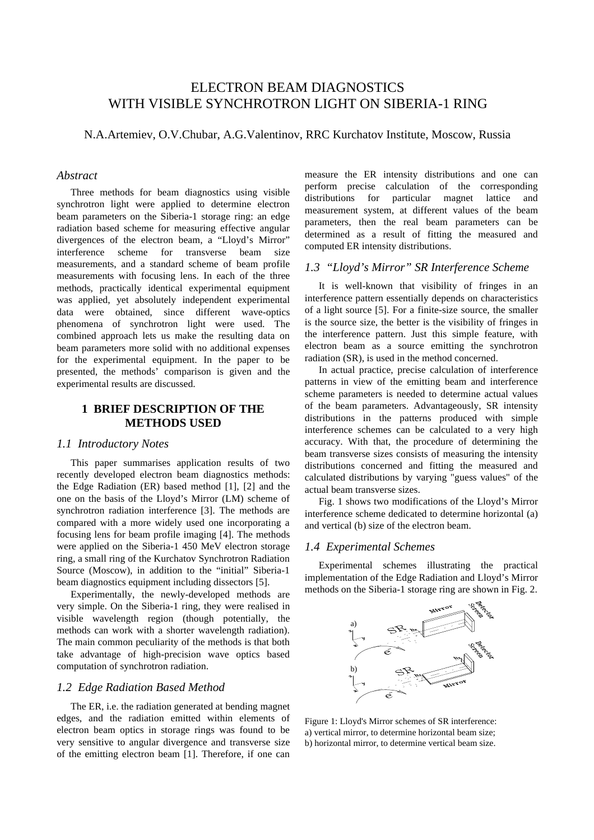# ELECTRON BEAM DIAGNOSTICS WITH VISIBLE SYNCHROTRON LIGHT ON SIBERIA-1 RING

N.A.Artemiev, O.V.Chubar, A.G.Valentinov, RRC Kurchatov Institute, Moscow, Russia

#### *Abstract*

Three methods for beam diagnostics using visible synchrotron light were applied to determine electron beam parameters on the Siberia-1 storage ring: an edge radiation based scheme for measuring effective angular divergences of the electron beam, a "Lloyd's Mirror" interference scheme for transverse beam size measurements, and a standard scheme of beam profile measurements with focusing lens. In each of the three methods, practically identical experimental equipment was applied, yet absolutely independent experimental data were obtained, since different wave-optics phenomena of synchrotron light were used. The combined approach lets us make the resulting data on beam parameters more solid with no additional expenses for the experimental equipment. In the paper to be presented, the methods' comparison is given and the experimental results are discussed.

## **1 BRIEF DESCRIPTION OF THE METHODS USED**

#### *1.1 Introductory Notes*

This paper summarises application results of two recently developed electron beam diagnostics methods: the Edge Radiation (ER) based method [1], [2] and the one on the basis of the Lloyd's Mirror (LM) scheme of synchrotron radiation interference [3]. The methods are compared with a more widely used one incorporating a focusing lens for beam profile imaging [4]. The methods were applied on the Siberia-1 450 MeV electron storage ring, a small ring of the Kurchatov Synchrotron Radiation Source (Moscow), in addition to the "initial" Siberia-1 beam diagnostics equipment including dissectors [5].

Experimentally, the newly-developed methods are very simple. On the Siberia-1 ring, they were realised in visible wavelength region (though potentially, the methods can work with a shorter wavelength radiation). The main common peculiarity of the methods is that both take advantage of high-precision wave optics based computation of synchrotron radiation.

#### *1.2 Edge Radiation Based Method*

The ER, i.e. the radiation generated at bending magnet edges, and the radiation emitted within elements of electron beam optics in storage rings was found to be very sensitive to angular divergence and transverse size of the emitting electron beam [1]. Therefore, if one can measure the ER intensity distributions and one can perform precise calculation of the corresponding distributions for particular magnet lattice and measurement system, at different values of the beam parameters, then the real beam parameters can be determined as a result of fitting the measured and computed ER intensity distributions.

## *1.3 "Lloyd's Mirror" SR Interference Scheme*

It is well-known that visibility of fringes in an interference pattern essentially depends on characteristics of a light source [5]. For a finite-size source, the smaller is the source size, the better is the visibility of fringes in the interference pattern. Just this simple feature, with electron beam as a source emitting the synchrotron radiation (SR), is used in the method concerned.

In actual practice, precise calculation of interference patterns in view of the emitting beam and interference scheme parameters is needed to determine actual values of the beam parameters. Advantageously, SR intensity distributions in the patterns produced with simple interference schemes can be calculated to a very high accuracy. With that, the procedure of determining the beam transverse sizes consists of measuring the intensity distributions concerned and fitting the measured and calculated distributions by varying "guess values" of the actual beam transverse sizes.

Fig. 1 shows two modifications of the Lloyd's Mirror interference scheme dedicated to determine horizontal (a) and vertical (b) size of the electron beam.

## *1.4 Experimental Schemes*

Experimental schemes illustrating the practical implementation of the Edge Radiation and Lloyd's Mirror methods on the Siberia-1 storage ring are shown in Fig. 2.



Figure 1: Lloyd's Mirror schemes of SR interference: a) vertical mirror, to determine horizontal beam size; b) horizontal mirror, to determine vertical beam size.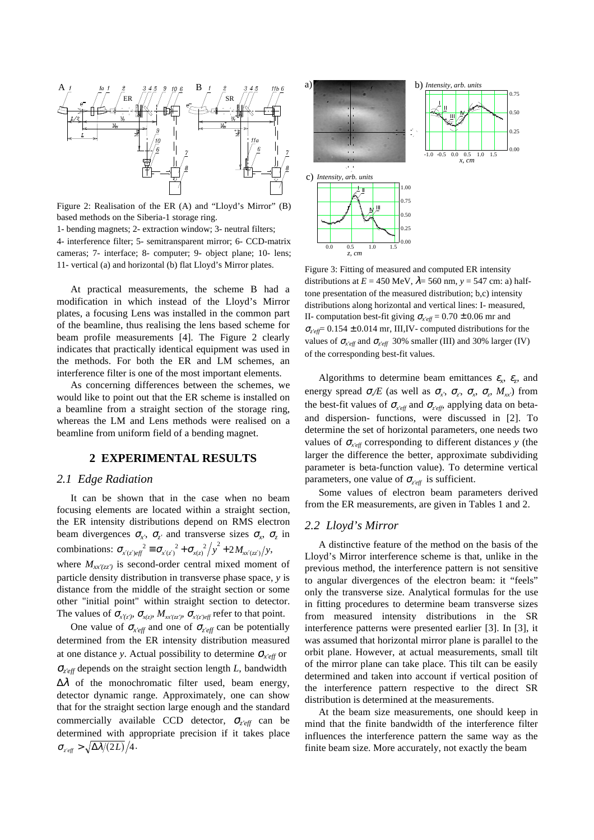

Figure 2: Realisation of the ER (A) and "Lloyd's Mirror" (B) based methods on the Siberia-1 storage ring. 1- bending magnets; 2- extraction window; 3- neutral filters;

4- interference filter; 5- semitransparent mirror; 6- CCD-matrix cameras; 7- interface; 8- computer; 9- object plane; 10- lens; 11- vertical (a) and horizontal (b) flat Lloyd's Mirror plates. Figure 3: Fitting of measured and computed ER intensity

At practical measurements, the scheme B had a modification in which instead of the Lloyd's Mirror plates, a focusing Lens was installed in the common part of the beamline, thus realising the lens based scheme for beam profile measurements [4]. The Figure 2 clearly indicates that practically identical equipment was used in the methods. For both the ER and LM schemes, an interference filter is one of the most important elements.

As concerning differences between the schemes, we would like to point out that the ER scheme is installed on a beamline from a straight section of the storage ring, whereas the LM and Lens methods were realised on a beamline from uniform field of a bending magnet.

## **2 EXPERIMENTAL RESULTS**

#### *2.1 Edge Radiation*

It can be shown that in the case when no beam focusing elements are located within a straight section, the ER intensity distributions depend on RMS electron beam divergences  $\sigma_{x}$ <sup>*,*</sup>,  $\sigma_{z}$ <sup>*'*</sup> and transverse sizes  $\sigma_{x}$ ,  $\sigma_{z}$ <sup>*in*</sup> combinations:  $\sigma_{x'(z') \in \hat{f}}^2 \equiv \sigma_{x'(z)}^2 + \sigma_{x(z)}^2 / y^2 + 2M_{xx'(zz')}/y$ , where  $M_{xx'(\tau z')}$  is second-order central mixed moment of particle density distribution in transverse phase space, *y* is distance from the middle of the straight section or some other "initial point" within straight section to detector. The values of  $\sigma_{x'(z)}$ ,  $\sigma_{x(z)}$ ,  $M_{xx'(zz')}$ ,  $\sigma_{x'(z')eff}$  refer to that point.

One value of  $\sigma_{x'eff}$  and one of  $\sigma_{z'eff}$  can be potentially determined from the ER intensity distribution measured at one distance *y*. Actual possibility to determine <sup>σ</sup>*x'eff* or <sup>σ</sup>*z'eff* depends on the straight section length *L*, bandwidth  $\Delta\lambda$  of the monochromatic filter used, beam energy, detector dynamic range. Approximately, one can show that for the straight section large enough and the standard commercially available CCD detector, <sup>σ</sup>*z'eff* can be determined with appropriate precision if it takes place  $\sigma_{\text{eff}} > \sqrt{\Delta \lambda/(2L)}/4$ .



distributions at  $E = 450$  MeV,  $\lambda = 560$  nm,  $y = 547$  cm: a) halftone presentation of the measured distribution; b,c) intensity distributions along horizontal and vertical lines: I- measured, II- computation best-fit giving  $\sigma_{x'eff} = 0.70 \pm 0.06$  mr and <sup>σ</sup>*z'eff*= 0.154 ± 0.014 mr, III,IV- computed distributions for the values of  $\sigma_{x'eff}$  and  $\sigma_{z'eff}$  30% smaller (III) and 30% larger (IV) of the corresponding best-fit values.

Algorithms to determine beam emittances  $\varepsilon_r$ ,  $\varepsilon_z$ , and energy spread  $\sigma_{N}/E$  (as well as  $\sigma_{X'}$ ,  $\sigma_{Z'}$ ,  $\sigma_{X'}$ ,  $\sigma_{Z'}$ ,  $M_{XX'}$ ) from the best-fit values of  $\sigma_{x' \text{eff}}$  and  $\sigma_{z' \text{eff}}$ , applying data on betaand dispersion- functions, were discussed in [2]. To determine the set of horizontal parameters, one needs two values of  $\sigma_{x'eff}$  corresponding to different distances *y* (the larger the difference the better, approximate subdividing parameter is beta-function value). To determine vertical parameters, one value of  $\sigma_{\text{ref}}$  is sufficient.

Some values of electron beam parameters derived from the ER measurements, are given in Tables 1 and 2.

#### *2.2 Lloyd's Mirror*

A distinctive feature of the method on the basis of the Lloyd's Mirror interference scheme is that, unlike in the previous method, the interference pattern is not sensitive to angular divergences of the electron beam: it "feels" only the transverse size. Analytical formulas for the use in fitting procedures to determine beam transverse sizes from measured intensity distributions in the SR interference patterns were presented earlier [3]. In [3], it was assumed that horizontal mirror plane is parallel to the orbit plane. However, at actual measurements, small tilt of the mirror plane can take place. This tilt can be easily determined and taken into account if vertical position of the interference pattern respective to the direct SR distribution is determined at the measurements.

At the beam size measurements, one should keep in mind that the finite bandwidth of the interference filter influences the interference pattern the same way as the finite beam size. More accurately, not exactly the beam